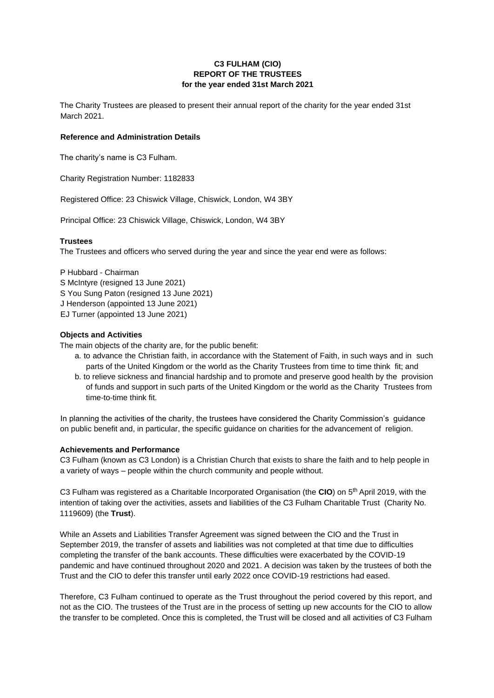# **C3 FULHAM (CIO) REPORT OF THE TRUSTEES for the year ended 31st March 2021**

The Charity Trustees are pleased to present their annual report of the charity for the year ended 31st March 2021.

# **Reference and Administration Details**

The charity's name is C3 Fulham.

Charity Registration Number: 1182833

Registered Office: 23 Chiswick Village, Chiswick, London, W4 3BY

Principal Office: 23 Chiswick Village, Chiswick, London, W4 3BY

## **Trustees**

The Trustees and officers who served during the year and since the year end were as follows:

P Hubbard - Chairman S McIntyre (resigned 13 June 2021) S You Sung Paton (resigned 13 June 2021) J Henderson (appointed 13 June 2021) EJ Turner (appointed 13 June 2021)

## **Objects and Activities**

The main objects of the charity are, for the public benefit:

- a. to advance the Christian faith, in accordance with the Statement of Faith, in such ways and in such parts of the United Kingdom or the world as the Charity Trustees from time to time think fit; and
- b. to relieve sickness and financial hardship and to promote and preserve good health by the provision of funds and support in such parts of the United Kingdom or the world as the Charity Trustees from time-to-time think fit.

In planning the activities of the charity, the trustees have considered the Charity Commission's guidance on public benefit and, in particular, the specific guidance on charities for the advancement of religion.

### **Achievements and Performance**

C3 Fulham (known as C3 London) is a Christian Church that exists to share the faith and to help people in a variety of ways – people within the church community and people without.

C3 Fulham was registered as a Charitable Incorporated Organisation (the **CIO**) on 5th April 2019, with the intention of taking over the activities, assets and liabilities of the C3 Fulham Charitable Trust (Charity No. 1119609) (the **Trust**).

While an Assets and Liabilities Transfer Agreement was signed between the CIO and the Trust in September 2019, the transfer of assets and liabilities was not completed at that time due to difficulties completing the transfer of the bank accounts. These difficulties were exacerbated by the COVID-19 pandemic and have continued throughout 2020 and 2021. A decision was taken by the trustees of both the Trust and the CIO to defer this transfer until early 2022 once COVID-19 restrictions had eased.

Therefore, C3 Fulham continued to operate as the Trust throughout the period covered by this report, and not as the CIO. The trustees of the Trust are in the process of setting up new accounts for the CIO to allow the transfer to be completed. Once this is completed, the Trust will be closed and all activities of C3 Fulham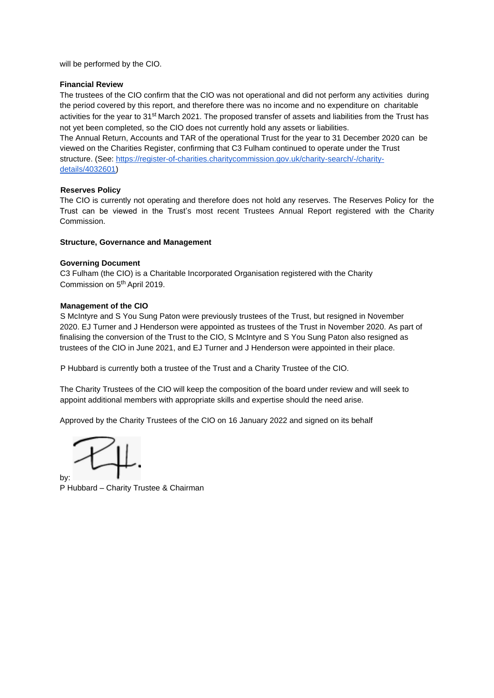will be performed by the CIO.

### **Financial Review**

The trustees of the CIO confirm that the CIO was not operational and did not perform any activities during the period covered by this report, and therefore there was no income and no expenditure on charitable activities for the year to 31<sup>st</sup> March 2021. The proposed transfer of assets and liabilities from the Trust has not yet been completed, so the CIO does not currently hold any assets or liabilities.

The Annual Return, Accounts and TAR of the operational Trust for the year to 31 December 2020 can be viewed on the Charities Register, confirming that C3 Fulham continued to operate under the Trust structure. (See: [https://register-of-charities.charitycommission.gov.uk/charity-search/-/charity](https://register-of-charities.charitycommission.gov.uk/charity-search/-/charity-details/4032601)[details/4032601\)](https://register-of-charities.charitycommission.gov.uk/charity-search/-/charity-details/4032601)

#### **Reserves Policy**

The CIO is currently not operating and therefore does not hold any reserves. The Reserves Policy for the Trust can be viewed in the Trust's most recent Trustees Annual Report registered with the Charity Commission.

### **Structure, Governance and Management**

#### **Governing Document**

C3 Fulham (the CIO) is a Charitable Incorporated Organisation registered with the Charity Commission on 5th April 2019.

#### **Management of the CIO**

S McIntyre and S You Sung Paton were previously trustees of the Trust, but resigned in November 2020. EJ Turner and J Henderson were appointed as trustees of the Trust in November 2020. As part of finalising the conversion of the Trust to the CIO, S McIntyre and S You Sung Paton also resigned as trustees of the CIO in June 2021, and EJ Turner and J Henderson were appointed in their place.

P Hubbard is currently both a trustee of the Trust and a Charity Trustee of the CIO.

The Charity Trustees of the CIO will keep the composition of the board under review and will seek to appoint additional members with appropriate skills and expertise should the need arise.

Approved by the Charity Trustees of the CIO on 16 January 2022 and signed on its behalf

by:

P Hubbard – Charity Trustee & Chairman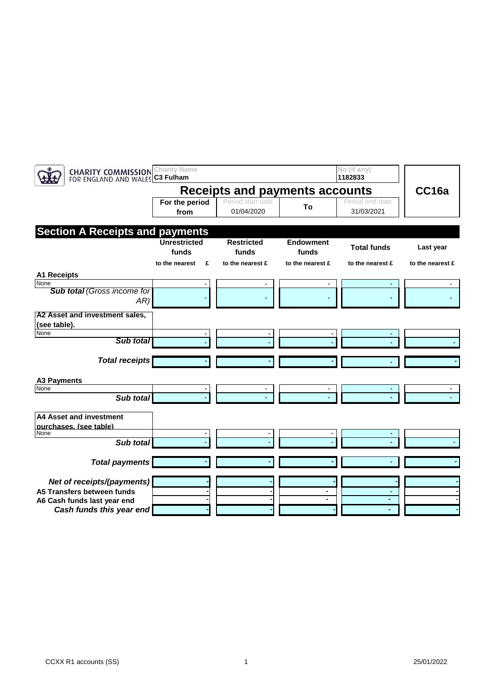| <b>CHARITY COMMISSION</b><br>FOR ENGLAND AND WALES C3 Fulham                                                        | <b>Charity Name</b>          |                                 |                           | No (if any)<br>1182833        |                  |
|---------------------------------------------------------------------------------------------------------------------|------------------------------|---------------------------------|---------------------------|-------------------------------|------------------|
| <b>Receipts and payments accounts</b>                                                                               |                              |                                 |                           |                               |                  |
|                                                                                                                     | For the period<br>from       | Period start date<br>01/04/2020 | To                        | Period end date<br>31/03/2021 | CC16a            |
| <b>Section A Receipts and payments</b>                                                                              |                              |                                 |                           |                               |                  |
|                                                                                                                     | <b>Unrestricted</b><br>funds | <b>Restricted</b><br>funds      | <b>Endowment</b><br>funds | <b>Total funds</b>            | Last year        |
| <b>A1 Receipts</b>                                                                                                  | £<br>to the nearest          | to the nearest £                | to the nearest £          | to the nearest £              | to the nearest £ |
| None<br><b>Sub total (Gross income for</b><br>AR)                                                                   |                              |                                 |                           |                               |                  |
| A2 Asset and investment sales,<br>(see table).                                                                      |                              |                                 |                           |                               |                  |
| None<br>Sub total                                                                                                   |                              |                                 |                           |                               |                  |
| <b>Total receipts</b>                                                                                               |                              |                                 |                           |                               |                  |
| <b>A3 Payments</b>                                                                                                  |                              |                                 |                           |                               |                  |
| None<br>Sub total                                                                                                   |                              |                                 |                           |                               |                  |
| A4 Asset and investment<br>purchases. (see table)<br>None<br>Sub total                                              |                              |                                 |                           |                               |                  |
| <b>Total payments</b>                                                                                               |                              |                                 |                           |                               |                  |
| Net of receipts/(payments)<br>A5 Transfers between funds<br>A6 Cash funds last year end<br>Cash funds this year end |                              |                                 | $\blacksquare$            | ٠                             |                  |